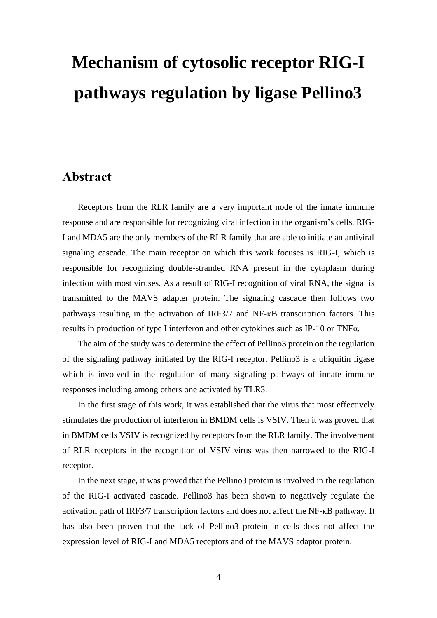## **Mechanism of cytosolic receptor RIG-I pathways regulation by ligase Pellino3**

## **Abstract**

Receptors from the RLR family are a very important node of the innate immune response and are responsible for recognizing viral infection in the organism's cells. RIG-I and MDA5 are the only members of the RLR family that are able to initiate an antiviral signaling cascade. The main receptor on which this work focuses is RIG-I, which is responsible for recognizing double-stranded RNA present in the cytoplasm during infection with most viruses. As a result of RIG-I recognition of viral RNA, the signal is transmitted to the MAVS adapter protein. The signaling cascade then follows two pathways resulting in the activation of IRF3/7 and NF-κB transcription factors. This results in production of type I interferon and other cytokines such as IP-10 or TNFα.

The aim of the study was to determine the effect of Pellino3 protein on the regulation of the signaling pathway initiated by the RIG-I receptor. Pellino3 is a ubiquitin ligase which is involved in the regulation of many signaling pathways of innate immune responses including among others one activated by TLR3.

In the first stage of this work, it was established that the virus that most effectively stimulates the production of interferon in BMDM cells is VSIV. Then it was proved that in BMDM cells VSIV is recognized by receptors from the RLR family. The involvement of RLR receptors in the recognition of VSIV virus was then narrowed to the RIG-I receptor.

In the next stage, it was proved that the Pellino3 protein is involved in the regulation of the RIG-I activated cascade. Pellino3 has been shown to negatively regulate the activation path of IRF3/7 transcription factors and does not affect the NF-κB pathway. It has also been proven that the lack of Pellino3 protein in cells does not affect the expression level of RIG-I and MDA5 receptors and of the MAVS adaptor protein.